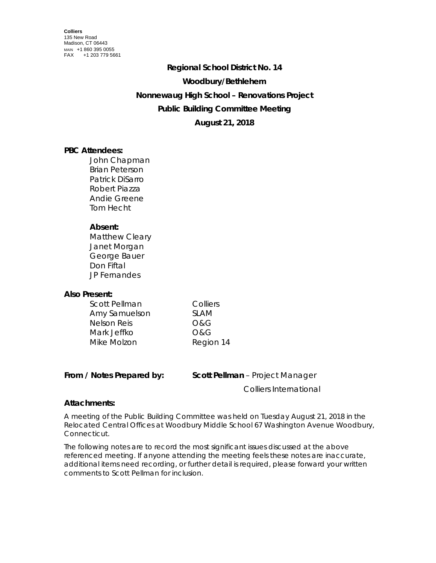**Regional School District No. 14 Woodbury/Bethlehem Nonnewaug High School – Renovations Project Public Building Committee Meeting August 21, 2018**

## **PBC Attendees:**

John Chapman Brian Peterson Patrick DiSarro Robert Piazza Andie Greene Tom Hecht

## **Absent:**

Matthew Cleary Janet Morgan George Bauer Don Fiftal JP Fernandes

## **Also Present:**

| Scott Pellman | Colliers    |
|---------------|-------------|
| Amy Samuelson | <b>SLAM</b> |
| Nelson Reis   | O&G         |
| Mark Jeffko   | O&G         |
| Mike Molzon   | Region 14   |

| From / Notes Prepared by: | <b>Scott Pellman</b> - Project Manager |
|---------------------------|----------------------------------------|
|---------------------------|----------------------------------------|

Colliers International

# **Attachments:**

A meeting of the Public Building Committee was held on Tuesday August 21, 2018 in the Relocated Central Offices at Woodbury Middle School 67 Washington Avenue Woodbury, Connecticut.

The following notes are to record the most significant issues discussed at the above referenced meeting. If anyone attending the meeting feels these notes are inaccurate, additional items need recording, or further detail is required, please forward your written comments to Scott Pellman for inclusion.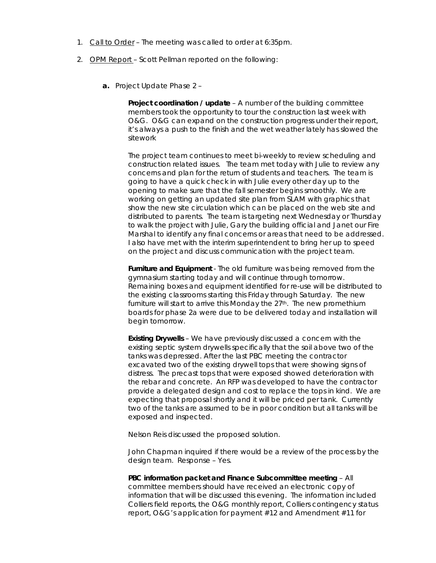- 1. Call to Order The meeting was called to order at 6:35pm.
- 2. OPM Report Scott Pellman reported on the following:
	- **a.** Project Update Phase 2 –

**Project coordination / update** – A number of the building committee members took the opportunity to tour the construction last week with O&G. O&G can expand on the construction progress under their report, it's always a push to the finish and the wet weather lately has slowed the sitework

The project team continues to meet bi-weekly to review scheduling and construction related issues. The team met today with Julie to review any concerns and plan for the return of students and teachers. The team is going to have a quick check in with Julie every other day up to the opening to make sure that the fall semester begins smoothly. We are working on getting an updated site plan from SLAM with graphics that show the new site circulation which can be placed on the web site and distributed to parents. The team is targeting next Wednesday or Thursday to walk the project with Julie, Gary the building official and Janet our Fire Marshal to identify any final concerns or areas that need to be addressed. I also have met with the interim superintendent to bring her up to speed on the project and discuss communication with the project team.

**Furniture and Equipment** - The old furniture was being removed from the gymnasium starting today and will continue through tomorrow. Remaining boxes and equipment identified for re-use will be distributed to the existing classrooms starting this Friday through Saturday. The new furniture will start to arrive this Monday the 27<sup>th</sup>. The new promethium boards for phase 2a were due to be delivered today and installation will begin tomorrow.

**Existing Drywells** – We have previously discussed a concern with the existing septic system drywells specifically that the soil above two of the tanks was depressed. After the last PBC meeting the contractor excavated two of the existing drywell tops that were showing signs of distress. The precast tops that were exposed showed deterioration with the rebar and concrete. An RFP was developed to have the contractor provide a delegated design and cost to replace the tops in kind. We are expecting that proposal shortly and it will be priced per tank. Currently two of the tanks are assumed to be in poor condition but all tanks will be exposed and inspected.

Nelson Reis discussed the proposed solution.

John Chapman inquired if there would be a review of the process by the design team. Response – Yes.

**PBC information packet and Finance Subcommittee meeting** – All committee members should have received an electronic copy of information that will be discussed this evening. The information included Colliers field reports, the O&G monthly report, Colliers contingency status report, O&G's application for payment #12 and Amendment #11 for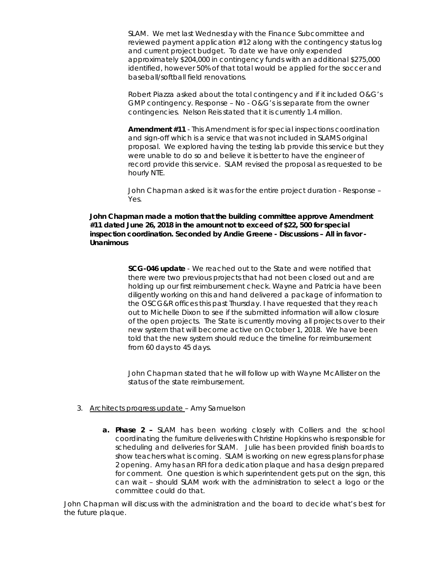SLAM. We met last Wednesday with the Finance Subcommittee and reviewed payment application #12 along with the contingency status log and current project budget. To date we have only expended approximately \$204,000 in contingency funds with an additional \$275,000 identified, however 50% of that total would be applied for the soccer and baseball/softball field renovations.

Robert Piazza asked about the total contingency and if it included O&G's GMP contingency. Response – No - O&G's is separate from the owner contingencies. Nelson Reis stated that it is currently 1.4 million.

**Amendment #11** - This Amendment is for special inspections coordination and sign-off which is a service that was not included in SLAMS original proposal. We explored having the testing lab provide this service but they were unable to do so and believe it is better to have the engineer of record provide this service. SLAM revised the proposal as requested to be hourly NTE.

John Chapman asked is it was for the entire project duration - Response – Yes.

**John Chapman made a motion that the building committee approve Amendment #11 dated June 26, 2018 in the amount not to exceed of \$22, 500 for special inspection coordination. Seconded by Andie Greene - Discussions – All in favor - Unanimous**

> **SCG-046 update** - We reached out to the State and were notified that there were two previous projects that had not been closed out and are holding up our first reimbursement check. Wayne and Patricia have been diligently working on this and hand delivered a package of information to the OSCG&R offices this past Thursday. I have requested that they reach out to Michelle Dixon to see if the submitted information will allow closure of the open projects. The State is currently moving all projects over to their new system that will become active on October 1, 2018. We have been told that the new system should reduce the timeline for reimbursement from 60 days to 45 days.

John Chapman stated that he will follow up with Wayne McAllister on the status of the state reimbursement.

#### 3. Architects progress update – Amy Samuelson

**a. Phase 2 –** SLAM has been working closely with Colliers and the school coordinating the furniture deliveries with Christine Hopkins who is responsible for scheduling and deliveries for SLAM. Julie has been provided finish boards to show teachers what is coming. SLAM is working on new egress plans for phase 2 opening. Amy has an RFI for a dedication plaque and has a design prepared for comment. One question is which superintendent gets put on the sign, this can wait – should SLAM work with the administration to select a logo or the committee could do that.

John Chapman will discuss with the administration and the board to decide what's best for the future plaque.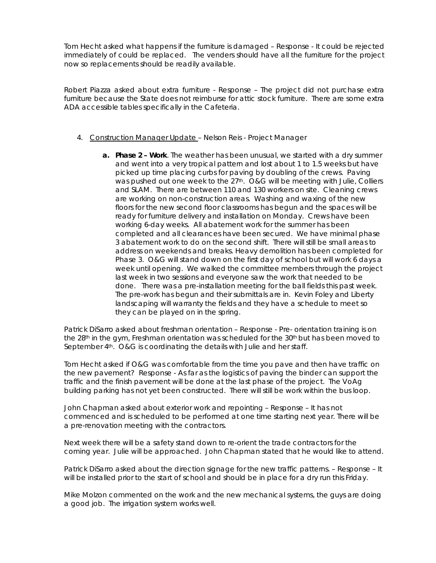Tom Hecht asked what happens if the furniture is damaged – Response - It could be rejected immediately of could be replaced. The venders should have all the furniture for the project now so replacements should be readily available.

Robert Piazza asked about extra furniture - Response – The project did not purchase extra furniture because the State does not reimburse for attic stock furniture. There are some extra ADA accessible tables specifically in the Cafeteria.

- 4. Construction Manager Update Nelson Reis Project Manager
	- **a. Phase 2 – Work**. The weather has been unusual, we started with a dry summer and went into a very tropical pattern and lost about 1 to 1.5 weeks but have picked up time placing curbs for paving by doubling of the crews. Paving was pushed out one week to the 27<sup>th</sup>. O&G will be meeting with Julie, Colliers and SLAM. There are between 110 and 130 workers on site. Cleaning crews are working on non-construction areas. Washing and waxing of the new floors for the new second floor classrooms has begun and the spaces will be ready for furniture delivery and installation on Monday. Crews have been working 6-day weeks. All abatement work for the summer has been completed and all clearances have been secured. We have minimal phase 3 abatement work to do on the second shift. There will still be small areas to address on weekends and breaks. Heavy demolition has been completed for Phase 3. O&G will stand down on the first day of school but will work 6 days a week until opening. We walked the committee members through the project last week in two sessions and everyone saw the work that needed to be done. There was a pre-installation meeting for the ball fields this past week. The pre-work has begun and their submittals are in. Kevin Foley and Liberty landscaping will warranty the fields and they have a schedule to meet so they can be played on in the spring.

Patrick DiSarro asked about freshman orientation – Response - Pre- orientation training is on the  $28<sup>th</sup>$  in the gym, Freshman orientation was scheduled for the  $30<sup>th</sup>$  but has been moved to September 4<sup>th</sup>. O&G is coordinating the details with Julie and her staff.

Tom Hecht asked if O&G was comfortable from the time you pave and then have traffic on the new pavement? Response - As far as the logistics of paving the binder can support the traffic and the finish pavement will be done at the last phase of the project. The VoAg building parking has not yet been constructed. There will still be work within the bus loop.

John Chapman asked about exterior work and repointing – Response – It has not commenced and is scheduled to be performed at one time starting next year. There will be a pre-renovation meeting with the contractors.

Next week there will be a safety stand down to re-orient the trade contractors for the coming year. Julie will be approached. John Chapman stated that he would like to attend.

Patrick DiSarro asked about the direction signage for the new traffic patterns. – Response – It will be installed prior to the start of school and should be in place for a dry run this Friday.

Mike Molzon commented on the work and the new mechanical systems, the guys are doing a good job. The irrigation system works well.